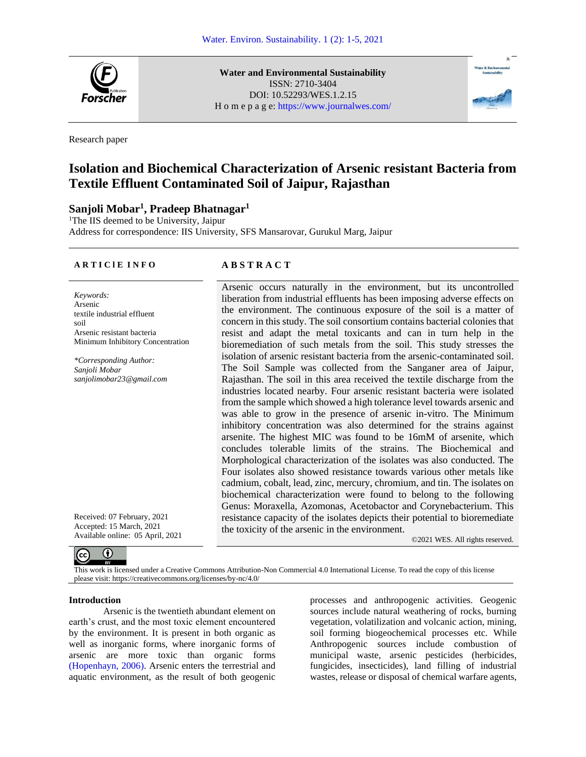

**Water and Environmental Sustainability** ISSN: 2710-3404 DOI: 10.52293/WES.1.2.15 H o m e p a g e: https://www.journalwes.com/



Research paper

# **Isolation and Biochemical Characterization of Arsenic resistant Bacteria from Textile Effluent Contaminated Soil of Jaipur, Rajasthan**

Arsenic occurs naturally in the environment, but its uncontrolled liberation from industrial effluents has been imposing adverse effects on the environment. The continuous exposure of the soil is a matter of concern in this study. The soil consortium contains bacterial colonies that resist and adapt the metal toxicants and can in turn help in the bioremediation of such metals from the soil. This study stresses the isolation of arsenic resistant bacteria from the arsenic-contaminated soil. The Soil Sample was collected from the Sanganer area of Jaipur, Rajasthan. The soil in this area received the textile discharge from the industries located nearby. Four arsenic resistant bacteria were isolated from the sample which showed a high tolerance level towards arsenic and was able to grow in the presence of arsenic in-vitro. The Minimum inhibitory concentration was also determined for the strains against arsenite. The highest MIC was found to be 16mM of arsenite, which concludes tolerable limits of the strains. The Biochemical and Morphological characterization of the isolates was also conducted. The Four isolates also showed resistance towards various other metals like cadmium, cobalt, lead, zinc, mercury, chromium, and tin. The isolates on biochemical characterization were found to belong to the following Genus: Moraxella, Azomonas, Acetobactor and Corynebacterium. This resistance capacity of the isolates depicts their potential to bioremediate

## **Sanjoli Mobar<sup>1</sup> , Pradeep Bhatnagar<sup>1</sup>**

<sup>1</sup>The IIS deemed to be University, Jaipur

Address for correspondence: IIS University, SFS Mansarovar, Gurukul Marg, Jaipur

#### **A R T I C l E I N F O A B S T R A C T**

*Keywords:* Arsenic textile industrial effluent soil Arsenic resistant bacteria Minimum Inhibitory Concentration

*\*Corresponding Author: Sanjoli Mobar sanjolimobar23@gmail.com*

Received: 07 February, 2021 Accepted: 15 March, 2021 Available online: 05 April, 2021 COACHY OF the arsence in the environment. ©2021 WES. All rights reserved.

This work is licensed under a Creative Commons Attribution-Non Commercial 4.0 International License. To read the copy of this license please visit: https://creativecommons.org/licenses/by-nc/4.0/

the toxicity of the arsenic in the environment.

#### **Introduction**

(cc)

⋒

Arsenic is the twentieth abundant element on earth's crust, and the most toxic element encountered by the environment. It is present in both organic as well as inorganic forms, where inorganic forms of arsenic are more toxic than organic forms (Hopenhayn, 2006). Arsenic enters the terrestrial and aquatic environment, as the result of both geogenic

processes and anthropogenic activities. Geogenic sources include natural weathering of rocks, burning vegetation, volatilization and volcanic action, mining, soil forming biogeochemical processes etc. While Anthropogenic sources include combustion of municipal waste, arsenic pesticides (herbicides, fungicides, insecticides), land filling of industrial wastes, release or disposal of chemical warfare agents,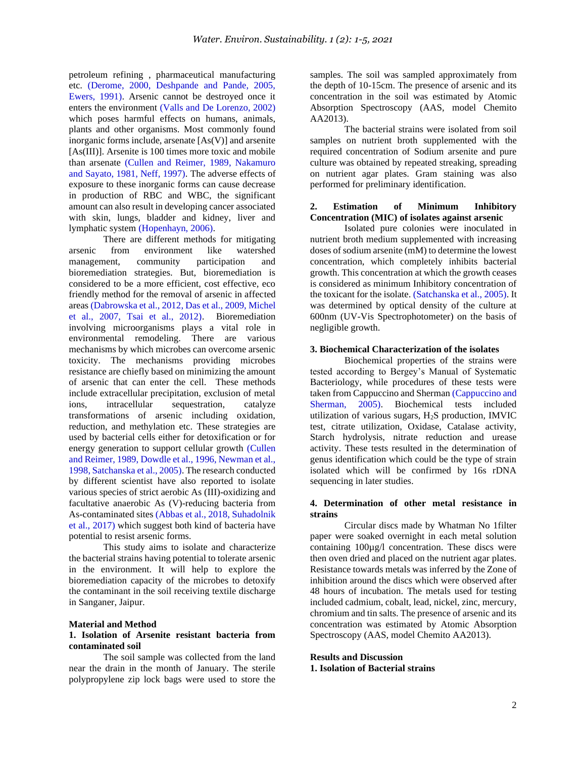petroleum refining , pharmaceutical manufacturing etc. (Derome, 2000, Deshpande and Pande, 2005, Ewers, 1991). Arsenic cannot be destroyed once it enters the environment (Valls and De Lorenzo, 2002) which poses harmful effects on humans, animals, plants and other organisms. Most commonly found inorganic forms include, arsenate [As(V)] and arsenite [As(III)]. Arsenite is 100 times more toxic and mobile than arsenate (Cullen and Reimer, 1989, Nakamuro and Sayato, 1981, Neff, 1997). The adverse effects of exposure to these inorganic forms can cause decrease in production of RBC and WBC, the significant amount can also result in developing cancer associated with skin, lungs, bladder and kidney, liver and lymphatic system (Hopenhayn, 2006).

There are different methods for mitigating arsenic from environment like watershed management, community participation and bioremediation strategies. But, bioremediation is considered to be a more efficient, cost effective, eco friendly method for the removal of arsenic in affected areas (Dabrowska et al., 2012, Das et al., 2009, Michel et al., 2007, Tsai et al., 2012). Bioremediation involving microorganisms plays a vital role in environmental remodeling. There are various mechanisms by which microbes can overcome arsenic toxicity. The mechanisms providing microbes resistance are chiefly based on minimizing the amount of arsenic that can enter the cell. These methods include extracellular precipitation, exclusion of metal ions, intracellular sequestration, catalyze transformations of arsenic including oxidation, reduction, and methylation etc. These strategies are used by bacterial cells either for detoxification or for energy generation to support cellular growth (Cullen and Reimer, 1989, Dowdle et al., 1996, Newman et al., 1998, Satchanska et al., 2005). The research conducted by different scientist have also reported to isolate various species of strict aerobic As (III)-oxidizing and facultative anaerobic As (V)-reducing bacteria from As-contaminated sites (Abbas et al., 2018, Suhadolnik et al., 2017) which suggest both kind of bacteria have potential to resist arsenic forms.

This study aims to isolate and characterize the bacterial strains having potential to tolerate arsenic in the environment. It will help to explore the bioremediation capacity of the microbes to detoxify the contaminant in the soil receiving textile discharge in Sanganer, Jaipur.

#### **Material and Method**

#### **1. Isolation of Arsenite resistant bacteria from contaminated soil**

The soil sample was collected from the land near the drain in the month of January. The sterile polypropylene zip lock bags were used to store the samples. The soil was sampled approximately from the depth of 10-15cm. The presence of arsenic and its concentration in the soil was estimated by Atomic Absorption Spectroscopy (AAS, model Chemito AA2013).

The bacterial strains were isolated from soil samples on nutrient broth supplemented with the required concentration of Sodium arsenite and pure culture was obtained by repeated streaking, spreading on nutrient agar plates. Gram staining was also performed for preliminary identification.

#### **2. Estimation of Minimum Inhibitory Concentration (MIC) of isolates against arsenic**

Isolated pure colonies were inoculated in nutrient broth medium supplemented with increasing doses of sodium arsenite (mM) to determine the lowest concentration, which completely inhibits bacterial growth. This concentration at which the growth ceases is considered as minimum Inhibitory concentration of the toxicant for the isolate. (Satchanska et al., 2005). It was determined by optical density of the culture at 600nm (UV-Vis Spectrophotometer) on the basis of negligible growth.

#### **3. Biochemical Characterization of the isolates**

Biochemical properties of the strains were tested according to Bergey's Manual of Systematic Bacteriology, while procedures of these tests were taken from Cappuccino and Sherman (Cappuccino and Sherman, 2005). Biochemical tests included utilization of various sugars, H2S production, IMVIC test, citrate utilization, Oxidase, Catalase activity, Starch hydrolysis, nitrate reduction and urease activity. These tests resulted in the determination of genus identification which could be the type of strain isolated which will be confirmed by 16s rDNA sequencing in later studies.

#### **4. Determination of other metal resistance in strains**

Circular discs made by Whatman No 1filter paper were soaked overnight in each metal solution containing 100µg/l concentration. These discs were then oven dried and placed on the nutrient agar plates. Resistance towards metals was inferred by the Zone of inhibition around the discs which were observed after 48 hours of incubation. The metals used for testing included cadmium, cobalt, lead, nickel, zinc, mercury, chromium and tin salts. The presence of arsenic and its concentration was estimated by Atomic Absorption Spectroscopy (AAS, model Chemito AA2013).

#### **Results and Discussion**

**1. Isolation of Bacterial strains**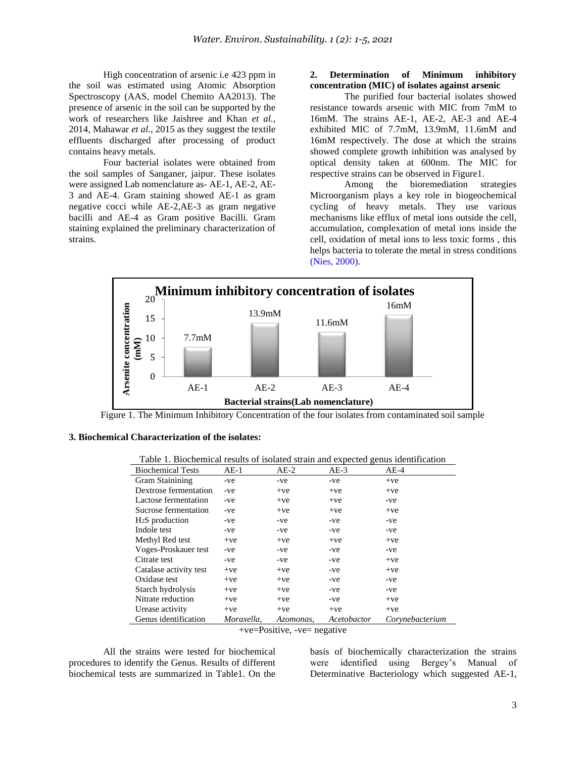High concentration of arsenic i.e 423 ppm in the soil was estimated using Atomic Absorption Spectroscopy (AAS, model Chemito AA2013). The presence of arsenic in the soil can be supported by the work of researchers like Jaishree and Khan *et al.,*  2014, Mahawar *et al.,* 2015 as they suggest the textile effluents discharged after processing of product contains heavy metals.

Four bacterial isolates were obtained from the soil samples of Sanganer, jaipur. These isolates were assigned Lab nomenclature as- AE-1, AE-2, AE-3 and AE-4. Gram staining showed AE-1 as gram negative cocci while AE-2,AE-3 as gram negative bacilli and AE-4 as Gram positive Bacilli. Gram staining explained the preliminary characterization of strains.

#### **2. Determination of Minimum inhibitory concentration (MIC) of isolates against arsenic**

The purified four bacterial isolates showed resistance towards arsenic with MIC from 7mM to 16mM. The strains AE-1, AE-2, AE-3 and AE-4 exhibited MIC of 7.7mM, 13.9mM, 11.6mM and 16mM respectively. The dose at which the strains showed complete growth inhibition was analysed by optical density taken at 600nm. The MIC for respective strains can be observed in Figure1.

Among the bioremediation strategies Microorganism plays a key role in biogeochemical cycling of heavy metals. They use various mechanisms like efflux of metal ions outside the cell, accumulation, complexation of metal ions inside the cell, oxidation of metal ions to less toxic forms , this helps bacteria to tolerate the metal in stress conditions (Nies, 2000).



Figure 1. The Minimum Inhibitory Concentration of the four isolates from contaminated soil sample

### **3. Biochemical Characterization of the isolates:**

| Table 1. Biochemical results of isolated strain and expected genus identification |
|-----------------------------------------------------------------------------------|
|-----------------------------------------------------------------------------------|

| <b>Biochemical Tests</b> | $AE-1$     | $AE-2$    | $AE-3$      | $AE-4$          |
|--------------------------|------------|-----------|-------------|-----------------|
| Gram Stainining          | -ve        | -ve       | -ve         | $+ve$           |
| Dextrose fermentation    | -ve        | $+ve$     | $+ve$       | $+ve$           |
| Lactose fermentation     | -ve        | $+ve$     | $+ve$       | -ve             |
| Sucrose fermentation     | -ve        | $+ve$     | $+ve$       | $+ve$           |
| $H2S$ production         | -ve        | -ve       | -ve         | -ve             |
| Indole test              | -ve        | -ve       | -ve         | -ve             |
| Methyl Red test          | $+ve$      | $+ve$     | $+ve$       | $+ve$           |
| Voges-Proskauer test     | -ve        | -ve       | -ve         | -ve             |
| Citrate test             | -ve        | -ve       | -ve         | $+ve$           |
| Catalase activity test   | $+ve$      | $+ve$     | -ve         | $+ve$           |
| Oxidase test             | $+ve$      | $+ve$     | -ve         | -ve             |
| Starch hydrolysis        | $+ve$      | $+ve$     | -ve         | -ve             |
| Nitrate reduction        | $+ve$      | $+ve$     | -ve         | $+ve$           |
| Urease activity          | $+ve$      | $+ve$     | $+ve$       | $+ve$           |
| Genus identification     | Moraxella. | Azomonas, | Acetobactor | Corynebacterium |

+ve=Positive, -ve= negative

All the strains were tested for biochemical procedures to identify the Genus. Results of different biochemical tests are summarized in Table1. On the basis of biochemically characterization the strains were identified using Bergey's Manual of Determinative Bacteriology which suggested AE-1,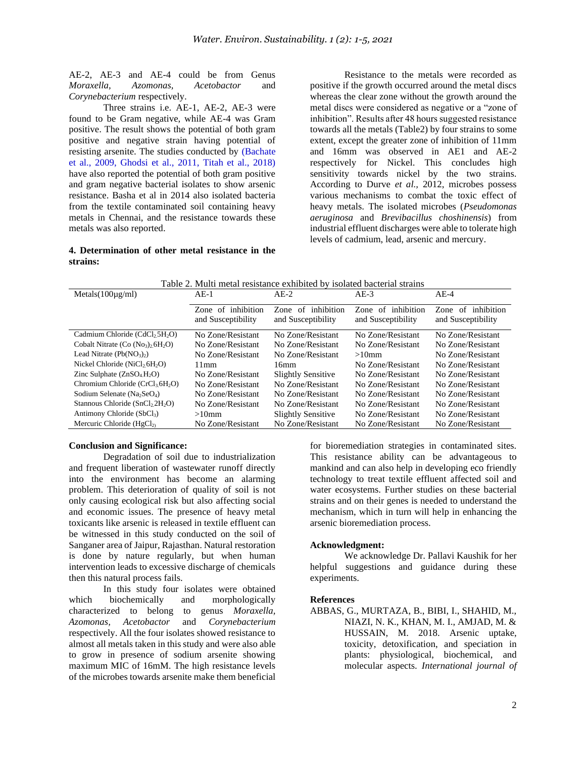AE-2, AE-3 and AE-4 could be from Genus *Moraxella, Azomonas, Acetobactor* and *Corynebacterium* respectively.

Three strains i.e. AE-1, AE-2, AE-3 were found to be Gram negative, while AE-4 was Gram positive. The result shows the potential of both gram positive and negative strain having potential of resisting arsenite. The studies conducted by (Bachate et al., 2009, Ghodsi et al., 2011, Titah et al., 2018) have also reported the potential of both gram positive and gram negative bacterial isolates to show arsenic resistance. Basha et al in 2014 also isolated bacteria from the textile contaminated soil containing heavy metals in Chennai, and the resistance towards these metals was also reported.

#### **4. Determination of other metal resistance in the strains:**

Resistance to the metals were recorded as positive if the growth occurred around the metal discs whereas the clear zone without the growth around the metal discs were considered as negative or a "zone of inhibition". Results after 48 hours suggested resistance towards all the metals (Table2) by four strains to some extent, except the greater zone of inhibition of 11mm and 16mm was observed in AE1 and AE-2 respectively for Nickel. This concludes high sensitivity towards nickel by the two strains. According to Durve *et al.,* 2012, microbes possess various mechanisms to combat the toxic effect of heavy metals. The isolated microbes (*Pseudomonas aeruginosa* and *Brevibacillus choshinensis*) from industrial effluent discharges were able to tolerate high levels of cadmium, lead, arsenic and mercury.

| $Metals(100\mu g/ml)$                                  | $AE-1$                                   | $AE-2$                                      | $AE-3$                                   | $AE-4$                                         |
|--------------------------------------------------------|------------------------------------------|---------------------------------------------|------------------------------------------|------------------------------------------------|
|                                                        | Zone of inhibition<br>and Susceptibility | of inhibition<br>Zone<br>and Susceptibility | Zone of inhibition<br>and Susceptibility | inhibition<br>Zone<br>of<br>and Susceptibility |
| Cadmium Chloride (CdCl <sub>2</sub> 5H <sub>2</sub> O) | No Zone/Resistant                        | No Zone/Resistant                           | No Zone/Resistant                        | No Zone/Resistant                              |
| Cobalt Nitrate (Co $(No3)26H2O$ )                      | No Zone/Resistant                        | No Zone/Resistant                           | No Zone/Resistant                        | No Zone/Resistant                              |
| Lead Nitrate $(Pb(NO_3)_2)$                            | No Zone/Resistant                        | No Zone/Resistant                           | $>10$ mm                                 | No Zone/Resistant                              |
| Nickel Chloride (NiCl $_2$ 6H $_2$ O)                  | 11mm                                     | 16mm                                        | No Zone/Resistant                        | No Zone/Resistant                              |
| Zinc Sulphate $(ZnSO4H2O)$                             | No Zone/Resistant                        | <b>Slightly Sensitive</b>                   | No Zone/Resistant                        | No Zone/Resistant                              |
| Chromium Chloride $(CrCl36H2O)$                        | No Zone/Resistant                        | No Zone/Resistant                           | No Zone/Resistant                        | No Zone/Resistant                              |
| Sodium Selenate (Na <sub>2</sub> SeO <sub>4</sub> )    | No Zone/Resistant                        | No Zone/Resistant                           | No Zone/Resistant                        | No Zone/Resistant                              |
| Stannous Chloride (SnCl <sub>2</sub> H <sub>2</sub> O) | No Zone/Resistant                        | No Zone/Resistant                           | No Zone/Resistant                        | No Zone/Resistant                              |
| Antimony Chloride (SbCl <sub>3</sub> )                 | $>10$ mm                                 | <b>Slightly Sensitive</b>                   | No Zone/Resistant                        | No Zone/Resistant                              |
| Mercuric Chloride ( $HgCl2$ )                          | No Zone/Resistant                        | No Zone/Resistant                           | No Zone/Resistant                        | No Zone/Resistant                              |

| Table 2. Multi metal resistance exhibited by isolated bacterial strains |
|-------------------------------------------------------------------------|
|-------------------------------------------------------------------------|

#### **Conclusion and Significance:**

Degradation of soil due to industrialization and frequent liberation of wastewater runoff directly into the environment has become an alarming problem. This deterioration of quality of soil is not only causing ecological risk but also affecting social and economic issues. The presence of heavy metal toxicants like arsenic is released in textile effluent can be witnessed in this study conducted on the soil of Sanganer area of Jaipur, Rajasthan. Natural restoration is done by nature regularly, but when human intervention leads to excessive discharge of chemicals then this natural process fails.

In this study four isolates were obtained which biochemically and morphologically characterized to belong to genus *Moraxella, Azomonas, Acetobactor* and *Corynebacterium* respectively. All the four isolates showed resistance to almost all metals taken in this study and were also able to grow in presence of sodium arsenite showing maximum MIC of 16mM. The high resistance levels of the microbes towards arsenite make them beneficial

for bioremediation strategies in contaminated sites. This resistance ability can be advantageous to mankind and can also help in developing eco friendly technology to treat textile effluent affected soil and water ecosystems. Further studies on these bacterial strains and on their genes is needed to understand the mechanism, which in turn will help in enhancing the arsenic bioremediation process.

#### **Acknowledgment:**

We acknowledge Dr. Pallavi Kaushik for her helpful suggestions and guidance during these experiments.

#### **References**

ABBAS, G., MURTAZA, B., BIBI, I., SHAHID, M., NIAZI, N. K., KHAN, M. I., AMJAD, M. & HUSSAIN, M. 2018. Arsenic uptake, toxicity, detoxification, and speciation in plants: physiological, biochemical, and molecular aspects. *International journal of*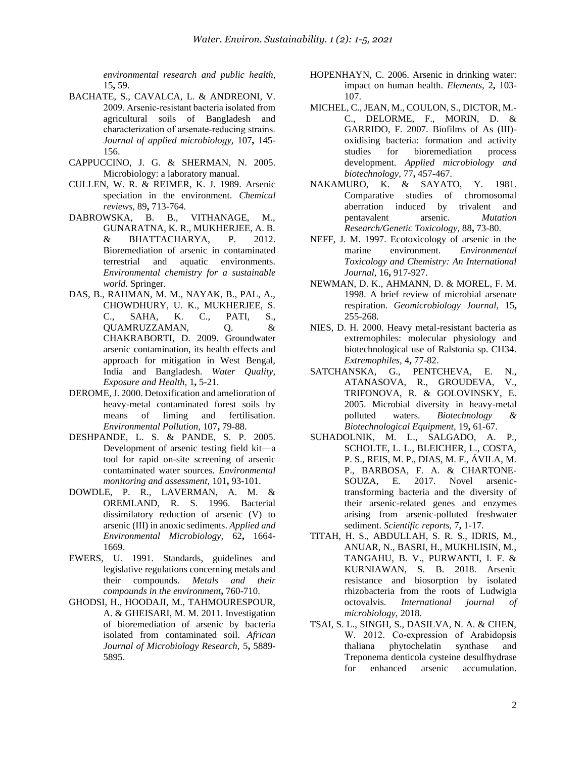*environmental research and public health,* 15**,** 59.

- BACHATE, S., CAVALCA, L. & ANDREONI, V. 2009. Arsenic‐resistant bacteria isolated from agricultural soils of Bangladesh and characterization of arsenate‐reducing strains. *Journal of applied microbiology,* 107**,** 145- 156.
- CAPPUCCINO, J. G. & SHERMAN, N. 2005. Microbiology: a laboratory manual.
- CULLEN, W. R. & REIMER, K. J. 1989. Arsenic speciation in the environment. *Chemical reviews,* 89**,** 713-764.
- DABROWSKA, B. B., VITHANAGE, M., GUNARATNA, K. R., MUKHERJEE, A. B. & BHATTACHARYA, P. 2012. Bioremediation of arsenic in contaminated terrestrial and aquatic environments. *Environmental chemistry for a sustainable world.* Springer.
- DAS, B., RAHMAN, M. M., NAYAK, B., PAL, A., CHOWDHURY, U. K., MUKHERJEE, S. C., SAHA, K. C., PATI, S., QUAMRUZZAMAN, Q. & CHAKRABORTI, D. 2009. Groundwater arsenic contamination, its health effects and approach for mitigation in West Bengal, India and Bangladesh. *Water Quality, Exposure and Health,* 1**,** 5-21.
- DEROME, J. 2000. Detoxification and amelioration of heavy-metal contaminated forest soils by means of liming and fertilisation. *Environmental Pollution,* 107**,** 79-88.
- DESHPANDE, L. S. & PANDE, S. P. 2005. Development of arsenic testing field kit—a tool for rapid on-site screening of arsenic contaminated water sources. *Environmental monitoring and assessment,* 101**,** 93-101.
- DOWDLE, P. R., LAVERMAN, A. M. & OREMLAND, R. S. 1996. Bacterial dissimilatory reduction of arsenic (V) to arsenic (III) in anoxic sediments. *Applied and Environmental Microbiology,* 62**,** 1664- 1669.
- EWERS, U. 1991. Standards, guidelines and legislative regulations concerning metals and their compounds. *Metals and their compounds in the environment***,** 760-710.
- GHODSI, H., HOODAJI, M., TAHMOURESPOUR, A. & GHEISARI, M. M. 2011. Investigation of bioremediation of arsenic by bacteria isolated from contaminated soil. *African Journal of Microbiology Research,* 5**,** 5889- 5895.
- HOPENHAYN, C. 2006. Arsenic in drinking water: impact on human health. *Elements,* 2**,** 103- 107.
- MICHEL, C., JEAN, M., COULON, S., DICTOR, M.- C., DELORME, F., MORIN, D. & GARRIDO, F. 2007. Biofilms of As (III) oxidising bacteria: formation and activity studies for bioremediation process development. *Applied microbiology and biotechnology,* 77**,** 457-467.
- NAKAMURO, K. & SAYATO, Y. 1981. Comparative studies of chromosomal aberration induced by trivalent and pentavalent arsenic. *Mutation Research/Genetic Toxicology,* 88**,** 73-80.
- NEFF, J. M. 1997. Ecotoxicology of arsenic in the marine environment. *Environmental Toxicology and Chemistry: An International Journal,* 16**,** 917-927.
- NEWMAN, D. K., AHMANN, D. & MOREL, F. M. 1998. A brief review of microbial arsenate respiration. *Geomicrobiology Journal,* 15**,** 255-268.
- NIES, D. H. 2000. Heavy metal-resistant bacteria as extremophiles: molecular physiology and biotechnological use of Ralstonia sp. CH34. *Extremophiles,* 4**,** 77-82.
- SATCHANSKA, G., PENTCHEVA, E. N., ATANASOVA, R., GROUDEVA, V., TRIFONOVA, R. & GOLOVINSKY, E. 2005. Microbial diversity in heavy-metal polluted waters. *Biotechnology & Biotechnological Equipment,* 19**,** 61-67.
- SUHADOLNIK, M. L., SALGADO, A. P., SCHOLTE, L. L., BLEICHER, L., COSTA, P. S., REIS, M. P., DIAS, M. F., ÁVILA, M. P., BARBOSA, F. A. & CHARTONE-SOUZA, E. 2017. Novel arsenictransforming bacteria and the diversity of their arsenic-related genes and enzymes arising from arsenic-polluted freshwater sediment. *Scientific reports,* 7**,** 1-17.
- TITAH, H. S., ABDULLAH, S. R. S., IDRIS, M., ANUAR, N., BASRI, H., MUKHLISIN, M., TANGAHU, B. V., PURWANTI, I. F. & KURNIAWAN, S. B. 2018. Arsenic resistance and biosorption by isolated rhizobacteria from the roots of Ludwigia octovalvis. *International journal of microbiology,* 2018.
- TSAI, S. L., SINGH, S., DASILVA, N. A. & CHEN, W. 2012. Co-expression of Arabidopsis thaliana phytochelatin synthase and Treponema denticola cysteine desulfhydrase for enhanced arsenic accumulation.